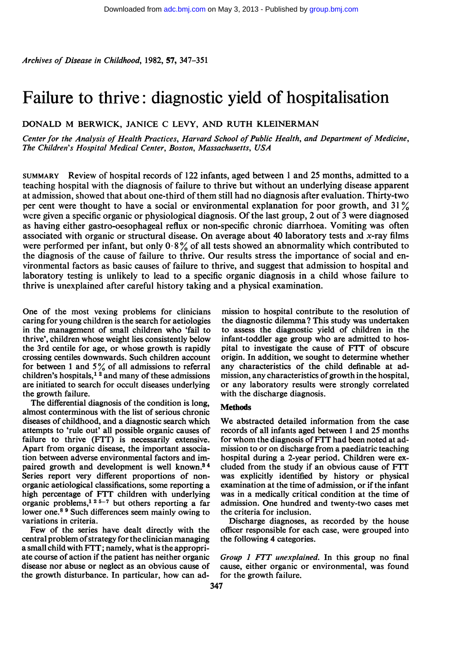Archives of Disease in Childhood, 1982, 57, 347-351

# Failure to thrive: diagnostic yield of hospitalisation

DONALD M BERWICK, JANICE C LEVY, AND RUTH KLEINERMAN

Center for the Analysis of Health Practices, Harvard School of Public Health, and Department of Medicine, The Children's Hospital Medical Center, Boston, Massachusetts, USA

SUMMARY Review of hospital records of 122 infants, aged between <sup>1</sup> and 25 months, admitted to a teaching hospital with the diagnosis of failure to thrive but without an underlying disease apparent at admission, showed that about one-third of them still had no diagnosis after evaluation. Thirty-two per cent were thought to have <sup>a</sup> social or environmental explanation for poor growth, and <sup>31</sup> % wcre given a specific organic or physiological diagnosis. Of the last group, 2 out of <sup>3</sup> were diagnosed as having either gastro-oesophageal reflux or non-specific chronic diarrhoea. Vomiting was often associated with organic or structural disease. On average about 40 laboratory tests and  $x$ -ray films were performed per infant, but only  $0.8\%$  of all tests showed an abnormality which contributed to the diagnosis of the cause of failure to thrive. Our results stress the importance of social and environmental factors as basic causes of failure to thrive, and suggest that admission to hospital and laboratory testing is unlikely to lead to a specific organic diagnosis in a child whose failure to thrive is unexplained after careful history taking and a physical examination.

One of the most vexing problems for clinicians caring for young children is the search for aetiologies in the management of small children who 'fail to thrive', children whose weight lies consistently below the 3rd centile for age, or whose growth is rapidly crossing centiles downwards. Such children account for between 1 and  $5\%$  of all admissions to referral children's hospitals,<sup>12</sup> and many of these admissions are initiated to search for occult diseases underlying the growth failure.

The differential diagnosis of the condition is long, almost conterminous with the list of serious chronic diseases of childhood, and a diagnostic search which attempts to 'rule out' all possible organic causes of failure to thrive (FTT) is necessarily extensive. Apart from organic disease, the important association between adverse environmental factors and impaired growth and development is well known.34 Series report very different proportions of nonorganic aetiological classifications, some reporting a high percentage of FTT children with underlying organic problems,<sup>125-7</sup> but others reporting a far lower one.8 <sup>9</sup> Such differences seem mainly owing to variations in criteria.

Few of the series have dealt directly with the central problem of strategy for the clinician managing a small child with FTT; namely, what is the appropriate course of action if the patient has neither organic disease nor abuse or neglect as an obvious cause of the growth disturbance. In particular, how can ad-

mission to hospital contribute to the resolution of the diagnostic dilemma? This study was undertaken to assess the diagnostic yield of children in the infant-toddler age group who are admitted to hospital to investigate the cause of FTT of obscure origin. In addition, we sought to determine whether any characteristics of the child definable at admission, any characteristics of growth in the hospital, or any laboratory results were strongly correlated with the discharge diagnosis.

#### Methods

We abstracted detailed information from the case records of all infants aged between <sup>1</sup> and 25 months for whom the diagnosis of FTT had been noted at admission to or on discharge from a paediatric teaching hospital during a 2-year period. Children were excluded from the study if an obvious cause of FTT was explicitly identified by history or physical examination at the time of admission, or if the infant was in a medically critical condition at the time of admission. One hundred and twenty-two cases met the criteria for inclusion.

Discharge diagnoses, as recorded by the house officer responsible for each case, were grouped into the following 4 categories.

Group <sup>I</sup> FTT unexplained. In this group no final cause, either organic or environmental, was found for the growth failure.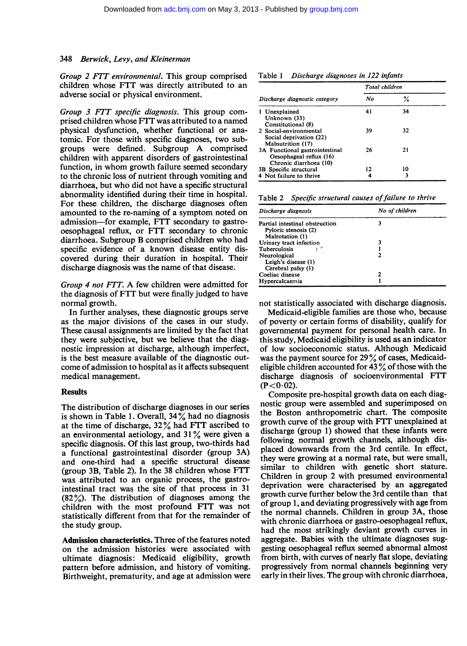# 348 Berwick, Levy, and Kleinerman

Group 2 FTT environmental. This group comprised children whose FTT was directly attributed to an adverse social or physical environment.

Group 3 FTT specific diagnosis. This group comprised children whose FTT was attributed to a named physical dysfunction, whether functional or anatomic. For those with specific diagnoses, two subgroups were defined. Subgroup A comprised children with apparent disorders of gastrointestinal function, in whom growth failure seemed secondary to the chronic loss of nutrient through vomiting and diarrhoea, but who did not have a specific structural abnormality identified during their time in hospital. For these children, the discharge diagnoses often amounted to the re-naming of a symptom noted on admission-for example, FTT secondary to gastrooesophageal reflux, or FTT secondary to chronic diarrhoea. Subgroup B comprised children who had specific evidence of a known disease entity discovered during their duration in hospital. Their discharge diagnosis was the name of that disease.

Group <sup>4</sup> not FTT. A few children were admitted for the diagnosis of FTT but were finally judged to have normal growth.

In further analyses, these diagnostic groups serve as the major divisions of the cases in our study. These causal assignments are limited by the fact that they were subjective, but we believe that the diagnostic impression at discharge, although imperfect, is the best measure available of the diagnostic outcome of admission to hospital as it affects subsequent medical management.

#### Results

The distribution of discharge diagnoses in our series is shown in Table 1. Overall, 34% had no diagnosis at the time of discharge, 32% had FTT ascribed to an environmental aetiology, and  $31\%$  were given a specific diagnosis. Of this last group, two-thirds had a functional gastrointestinal disorder (group 3A) and one-third had a specific structural disease (group 3B, Table 2). In the <sup>38</sup> children whose FTT was attributed to an organic process, the gastrointestinal tract was the site of that process in 31  $(82\%)$ . The distribution of diagnoses among the children with the most profound FTT was not statistically different from that for the remainder of the study group.

Admission characteristics. Three of the features noted on the admission histories were associated with ultimate diagnosis: Medicaid eligibility, growth pattern before admission, and history of vomiting. Birthweight, prematurity, and age at admission were

| Table 1 |  |  |  |  | Discharge diagnoses in 122 infants |  |  |  |  |  |
|---------|--|--|--|--|------------------------------------|--|--|--|--|--|
|---------|--|--|--|--|------------------------------------|--|--|--|--|--|

|                                                                                     | Total children |    |  |  |
|-------------------------------------------------------------------------------------|----------------|----|--|--|
| Discharge diagnostic category                                                       | No             | ℅  |  |  |
| 1 Unexplained<br>Unknown (33)<br>Constitutional (8)                                 | 41             | 34 |  |  |
| 2 Social-environmental<br>Social deprivation (22)<br>Malnutrition (17)              | 39             | 32 |  |  |
| 3A Functional gastrointestinal<br>Oesophageal reflux (16)<br>Chronic diarrhoea (10) | 26             | 21 |  |  |
| 3B Specific structural<br>4 Not failure to thrive                                   | 12             | 10 |  |  |

Table 2 Specific structural causes of failure to thrive

| Discharge diagnosis            | No of children |  |  |  |
|--------------------------------|----------------|--|--|--|
| Partial intestinal obstruction |                |  |  |  |
| Pyloric stenosis (2)           |                |  |  |  |
| Malrotation (1)                |                |  |  |  |
| Urinary tract infection        |                |  |  |  |
| Tuberculosis                   |                |  |  |  |
| Neurological                   |                |  |  |  |
| Leigh's disease (1)            |                |  |  |  |
| Cerebral palsy (1)             |                |  |  |  |
| Coeliac disease                |                |  |  |  |
| Hypercalcaemia                 |                |  |  |  |

not statistically associated with discharge diagnosis.

Medicaid-eligible families are those who, because of poverty or certain forms of disability, qualify for governmental payment for personal health care. In this study, Medicaid eligibility is used as an indicator of low socioeconomic status. Although Medicaid was the payment source for 29% of cases, Medicaideligible children accounted for  $43\%$  of those with the discharge diagnosis of socioenvironmental FTT  $(P < 0.02)$ .

Composite pre-hospital growth data on each diagnostic group were assembled and superimposed on the Boston anthropometric chart. The composite growth curve of the group with FTT unexplained at discharge (group 1) showed that these infants were following normal growth channels, although displaced downwards from the 3rd centile. In effect, they were growing at a normal rate, but were small, similar to children with genetic short stature. Children in group 2 with presumed environmental deprivation were characterised by an aggregated growth curve further below the 3rd centile than that of group 1, and deviating progressively with age from the normal channels. Children in group 3A, those with chronic diarrhoea or gastro-oesophageal reflux, had the most strikingly deviant growth curves in aggregate. Babies with the ultimate diagnoses suggesting oesophageal reflux seemed abnormal almost from birth, with curves of nearly flat slope, deviating progressively from normal channels beginning very early in their lives. The group with chronic diarrhoea,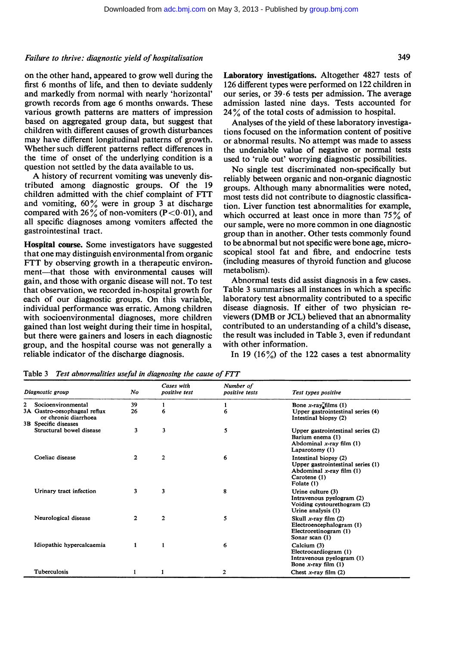## Failure to thrive: diagnostic yield of hospitalisation

on the other hand, appeared to grow well during the first 6 months of life, and then to deviate suddenly and markedly from normal with nearly 'horizontal' growth records from age 6 months onwards. These various growth patterns are matters of impression based on aggregated group data, but suggest that children with different causes of growth disturbances may have different longitudinal patterns of growth. Whether such different patterns reflect differences in the time of onset of the underlying condition is a question not settled by the data available to us.

A history of recurrent vomiting was unevenly distributed among diagnostic groups. Of the 19 children admitted with the chief complaint of FTT and vomiting, 60% were in group <sup>3</sup> at discharge compared with  $26\%$  of non-vomiters (P<0.01), and all specific diagnoses among vomiters affected the gastrointestinal tract.

Hospital course. Some investigators have suggested that one may distinguish environmental from organic FTT by observing growth in a therapeutic environment-that those with environmental causes will gain, and those with organic disease will not. To test that observation, we recorded in-hospital growth for each of our diagnostic groups. On this variable, individual performance was erratic. Among children with socioenvironmental diagnoses, more children gained than lost weight during their time in hospital, but there were gainers and losers in each diagnostic group, and the hospital course was not generally a reliable indicator of the discharge diagnosis.

Laboratory investigations. Altogether 4827 tests of 126 different types were performed on 122 children in our series, or 39.6 tests per admission. The average admission lasted nine days. Tests accounted for <sup>24</sup> % of the total costs of admission to hospital.

Analyses of the yield of these laboratory investigations focused on the information content of positive or abnormal results. No attempt was made to assess the undeniable value of negative or normal tests used to 'rule out' worrying diagnostic possibilities.

No single test discriminated non-specifically but reliably between organic and non-organic diagnostic groups. Although many abnormalities were noted, most tests did not contribute to diagnostic classification. Liver function test abnormalities for example, which occurred at least once in more than 75% of our sample, were no more common in one diagnostic group than in another. Other tests commonly found to be abnormal but not specific were bone age, microscopical stool fat and fibre, and endocrine tests (including measures of thyroid function and glucose metabolism).

Abnormal tests did assist diagnosis in a few cases. Table 3 summarises all instances in which a specific laboratory test abnormality contributed to a specific disease diagnosis. If either of two physician reviewers (DMB or JCL) believed that an abnormality contributed to an understanding of a child's disease, the result was included in Table 3, even if redundant with other information.

In 19  $(16\%)$  of the 122 cases a test abnormality

| Diagnostic group                                                                                        | No             | Cases with<br>positive test | Number of<br>positive tests | Test types positive                                                                                                       |  |  |  |
|---------------------------------------------------------------------------------------------------------|----------------|-----------------------------|-----------------------------|---------------------------------------------------------------------------------------------------------------------------|--|--|--|
| Socioenvironmental<br>2<br>3A Gastro-oesophageal reflux<br>or chronic diarrhoea<br>3B Specific diseases | 39<br>26       | 6                           | 6                           | Bone x-ray films $(1)$<br>Upper gastrointestinal series (4)<br>Intestinal biopsy (2)                                      |  |  |  |
| Structural bowel disease                                                                                | 3              | 3                           | 5                           | Upper gastrointestinal series (2)<br>Barium enema (1)<br>Abdominal x-ray film $(1)$<br>Laparotomy (1)                     |  |  |  |
| Coeliac disease                                                                                         | $\mathbf{2}$   | $\overline{2}$              | 6                           | Intestinal biopsy (2)<br>Upper gastrointestinal series (1)<br>Abdominal $x$ -ray film $(1)$<br>Carotene (1)<br>Folate (1) |  |  |  |
| Urinary tract infection                                                                                 | 3              | 3                           | 8                           | Urine culture (3)<br>Intravenous pyelogram (2)<br>Voiding cystourethogram (2)<br>Urine analysis (1)                       |  |  |  |
| Neurological disease                                                                                    | $\overline{2}$ | $\mathbf{2}$                | 5                           | Skull $x$ -ray film $(2)$<br>Electroencephalogram (1)<br>Electroretinogram (1)<br>Sonar scan (1)                          |  |  |  |
| Idiopathic hypercalcaemia                                                                               | 1              | 1                           | 6                           | Calcium (3)<br>Electrocardiogram (1)<br>Intravenous pyelogram (1)<br>Bone x-ray film $(1)$                                |  |  |  |
| Tuberculosis                                                                                            | 1              | 1                           | 2                           | Chest x-ray film $(2)$                                                                                                    |  |  |  |

Table <sup>3</sup> Test abnormalities useful in diagnosing the cause of FTT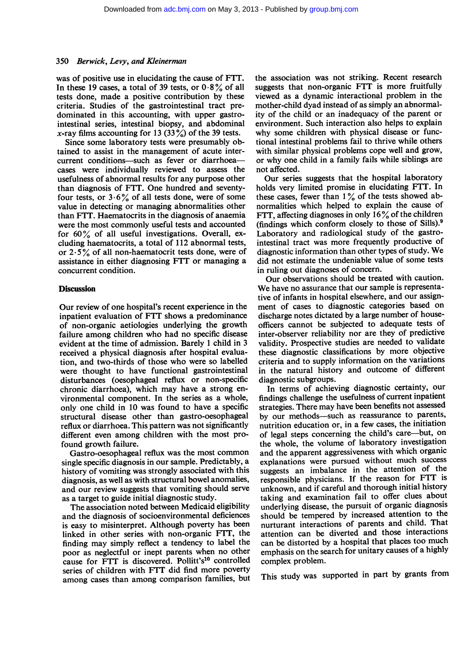## 350 Berwick, Levy, and Kleinerman

was of positive use in elucidating the cause of FTT. In these 19 cases, a total of 39 tests, or  $0.8\%$  of all tests done, made a positive contribution by these criteria. Studies of the gastrointestinal tract predominated in this accounting, with upper gastrointestinal series, intestinal biopsy, and abdominal x-ray films accounting for 13 (33%) of the 39 tests.

Since some laboratory tests were presumably obtained to assist in the management of acute intercurrent conditions-such as fever or diarrhoeacases were individually reviewed to assess the usefulness of abnormal results for any purpose other than diagnosis of FTT. One hundred and seventyfour tests, or  $3.6\%$  of all tests done, were of some value in detecting or managing abnormalities other than FTT. Haematocrits in the diagnosis of anaemia were the most commonly useful tests and accounted for  $60\%$  of all useful investigations. Overall, excluding haematocrits, a total of 112 abnormal tests, or  $2.5\%$  of all non-haematocrit tests done, were of assistance in either diagnosing FTT or managing a concurrent condition.

#### **Discussion**

Our review of one hospital's recent experience in the inpatient evaluation of FTT shows a predominance of non-organic aetiologies underlying the growth failure among children who had no specific disease evident at the time of admission. Barely <sup>1</sup> child in 3 received a physical diagnosis after hospital evaluation, and two-thirds of those who were so labelled were thought to have functional gastrointestinal disturbances (oesophageal reflux or non-specific chronic diarrhoea), which may have a strong environmental component. In the series as a whole, only one child in 10 was found to have a specific structural disease other than gastro-oesophageal reflux or diarrhoea. This pattern was not significantly different even among children with the most profound growth failure.

Gastro-oesophageal reflux was the most common single specific diagnosis in our sample. Predictably, a history of vomiting was strongly associated with this diagnosis, as well as with structural bowel anomalies, and our review suggests that vomiting should serve as a target to guide initial diagnostic study.

The association noted between Medicaid eligibility and the diagnosis of socioenvironmental deficiences is easy to misinterpret. Although poverty has been linked in other series with non-organic FTT, the finding may simply reflect a tendency to label the poor as neglectful or inept parents when no other cause for FTT is discovered. Pollitt's<sup>10</sup> controlled series of children with FTT did find more poverty among cases than among comparison families, but

the association was not striking. Recent research suggests that non-organic FTT is more fruitfully viewed as a dynamic interactional problem in the mother-child dyad instead of as simply an abnormality of the child or an inadequacy of the parent or environment. Such interaction also helps to explain why some children with physical disease or functional intestinal problems fail to thrive while others with similar physical problems cope well and grow, or why one child in a family fails while siblings are not affected.

Our series suggests that the hospital laboratory holds very limited promise in elucidating FTT. In these cases, fewer than  $1\%$  of the tests showed abnormalities which helped to explain the cause of FTT, affecting diagnoses in only  $16\%$  of the children (findings which conform closely to those of Sills).9 Laboratory and radiological study of the gastrointestinal tract was more frequently productive of diagnostic information than other types of study. We did not estimate the undeniable value of some tests in ruling out diagnoses of concern.

Our observations should be treated with caution. We have no assurance that our sample is representative of infants in hospital elsewhere, and our assignment of cases to diagnostic categories based on discharge notes dictated by a large number of houseofficers cannot be subjected to adequate tests of inter-observer reliability nor are they of predictive validity. Prospective studies are needed to validate these diagnostic classifications by more objective criteria and to supply information on the variations in the natural history and outcome of different diagnostic subgroups.

In terms of achieving diagnostic certainty, our findings challenge the usefulness of current inpatient strategies. There may have been benefits not assessed by our methods-such as reassurance to parents, nutrition education or, in a few cases, the initiation of legal steps concerning the child's care-but, on the whole, the volume of laboratory investigation and the apparent aggressiveness with which organic explanations were pursued without much success suggests an imbalance in the attention of the responsible physicians. If the reason for FTT is unknown, and if careful and thorough initial history taking and examination fail to offer clues about underlying disease, the pursuit of organic diagnosis should be tempered by increased attention to the nurturant interactions of parents and child. That attention can be diverted and those interactions can be distorted by <sup>a</sup> hospital that places too much emphasis on the search for unitary causes of a highly complex problem.

This study was supported in part by grants from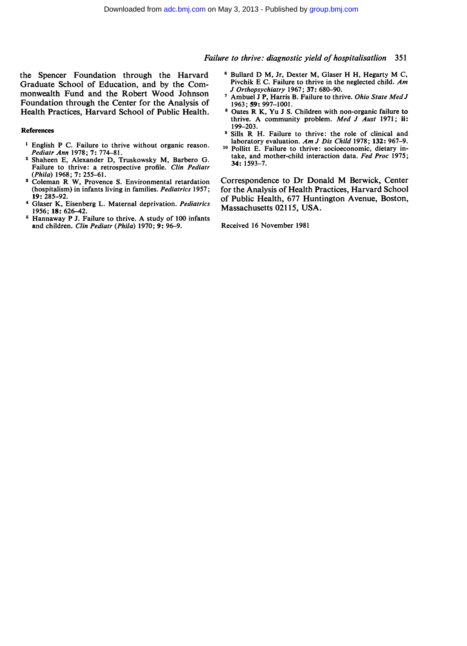Failure to thrive: diagnostic yield of hospitalisatlion 351

the Spencer Foundation through the Harvard Graduate School of Education, and by the Commonwealth Fund and the Robert Wood Johnson Foundation through the Center for the Analysis of Health Practices, Harvard School of Public Health.

#### References

- <sup>1</sup> English P C. Failure to thrive without organic reason. Pediatr Ann 1978; 7: 774-81.
- <sup>2</sup> Shaheen E, Alexander D, Truskowsky M, Barbero G. Failure to thrive: a retrospective profile. Clin Pediatr (Phila) 1968; 7: 255-61.
- <sup>3</sup> Coleman R W, Provence S. Environmental retardation (hospitalism) in infants living in families. Pediatrics 1957; 19: 285-92.
- <sup>4</sup> Glaser K, Eisenberg L. Maternal deprivation. Pediatrics 1956; 18: 626-42.
- <sup>5</sup> Hannaway P J. Failure to thrive. A study of <sup>100</sup> infants and children. Clin Pediatr (Phila) 1970; 9: 96-9.
- <sup>6</sup> Bullard D M, Jr, Dexter M, Glaser H H, Hegarty M C, Pivchik E C. Failure to thrive in the neglected child. Am J Orthopsychiatry 1967; 37: 680-90.
- <sup>7</sup> Ambuel J P, Harris B. Failure to thrive. Ohio State Med J 1963; 59: 997-1001.
- <sup>8</sup> Oates R K, Yu <sup>J</sup> S. Children with non-organic failure to thrive. A community problem. Med J Aust 1971; ii: 199-203.
- <sup>9</sup> Sills R H. Failure to thrive: the role of clinical and laboratory evaluation. Am J Dis Child 1978; 132: 967-9.
- <sup>10</sup> Pollitt E. Failure to thrive: socioeconomic, dietary intake, and mother-child interaction data. Fed Proc 1975; 34: 1593-7.

Correspondence to Dr Donald M Berwick, Center for the Analysis of Health Practices, Harvard School of Public Health, 677 Huntington Avenue, Boston, Massachusetts 02115, USA.

Received 16 November 1981